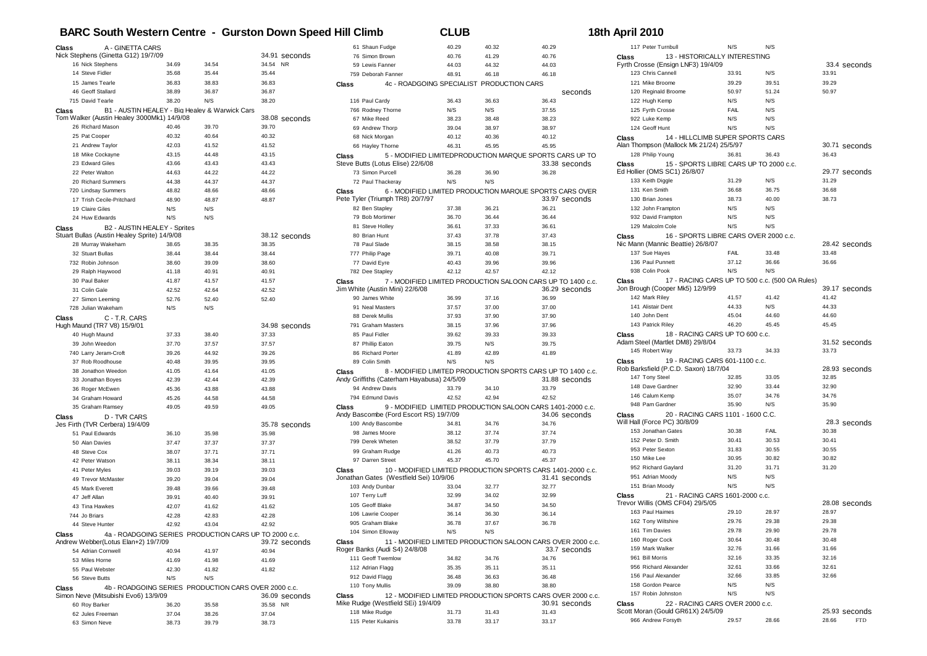## **BARC South Western Centre - Gurston Down Speed Hill Climb CLUB 18th April 2010**

| Class            | A - GINETTA CARS                                      |                |                |                |               |       | 61 Shaun Fudge                                    | 40.29          | 40.32          | 40.29          |
|------------------|-------------------------------------------------------|----------------|----------------|----------------|---------------|-------|---------------------------------------------------|----------------|----------------|----------------|
|                  | Nick Stephens (Ginetta G12) 19/7/09                   |                |                |                | 34.91 seconds |       | 76 Simon Brown                                    | 40.76          | 41.29          | 40.76          |
|                  | 16 Nick Stephens                                      | 34.69          | 34.54          | 34.54 NR       |               |       | 59 Lewis Fanner                                   | 44.03          | 44.32          | 44.03          |
| 14 Steve Fidler  |                                                       | 35.68          | 35.44          | 35.44          |               |       | 759 Deborah Fanner                                | 48.91          | 46.18          | 46.18          |
|                  | 15 James Tearle                                       | 36.83          | 38.83          | 36.83          |               | Class | 4c - ROADGOING SPECIALIST PRODUCTION CARS         |                |                |                |
|                  | 46 Geoff Stallard                                     | 38.89          | 36.87          | 36.87          |               |       |                                                   |                |                |                |
| 715 David Tearle |                                                       | 38.20          | N/S            | 38.20          |               |       | 116 Paul Cardy                                    | 36.43          | 36.63          | 36.43          |
| Class            | B1 - AUSTIN HEALEY - Big Healey & Warwick Cars        |                |                |                |               |       | 766 Rodney Thorne                                 | N/S            | N/S            | 37.55          |
|                  | Tom Walker (Austin Healey 3000Mk1) 14/9/08            |                |                |                | 38.08 seconds |       | 67 Mike Reed                                      | 38.23          | 38.48          | 38.23          |
|                  | 26 Richard Mason                                      | 40.46          | 39.70          | 39.70          |               |       | 69 Andrew Thorp                                   | 39.04          | 38.97          | 38.97          |
| 25 Pat Cooper    |                                                       | 40.32          | 40.64          | 40.32          |               |       |                                                   |                |                |                |
|                  |                                                       |                |                |                |               |       | 68 Nick Morgan                                    | 40.12          | 40.36          | 40.12          |
|                  | 21 Andrew Taylor                                      | 42.03          | 41.52          | 41.52          |               |       | 66 Hayley Thorne                                  | 46.31          | 45.95          | 45.95          |
|                  | 18 Mike Cockayne                                      | 43.15          | 44.48          | 43.15          |               | Class | 5 - MODIFIED LIMITEDPRODUCTION MARQUE SPORTS      |                |                |                |
|                  | 23 Edward Giles                                       | 43.66          | 43.43          | 43.43          |               |       | Steve Butts (Lotus Elise) 22/6/08                 |                |                | 33.38          |
|                  | 22 Peter Walton                                       | 44.63          | 44.22          | 44.22          |               |       | 73 Simon Purcell                                  | 36.28          | 36.90          | 36.28          |
|                  | 20 Richard Summers                                    | 44.38          | 44.37          | 44.37          |               |       | 72 Paul Thackeray                                 | N/S            | N/S            |                |
|                  | 720 Lindsay Summers                                   | 48.82          | 48.66          | 48.66          |               | Class | 6 - MODIFIED LIMITED PRODUCTION MARQUE SPORTS     |                |                |                |
|                  | 17 Trish Cecile-Pritchard                             | 48.90          | 48.87          | 48.87          |               |       | Pete Tyler (Triumph TR8) 20/7/97                  |                |                | 33.97          |
| 19 Claire Giles  |                                                       | N/S            | N/S            |                |               |       | 82 Ben Stapley                                    | 37.38          | 36.21          | 36.21          |
|                  | 24 Huw Edwards                                        | N/S            | N/S            |                |               |       | 79 Bob Mortimer                                   | 36.70          | 36.44          | 36.44          |
| Class            | B2 - AUSTIN HEALEY - Sprites                          |                |                |                |               |       | 81 Steve Holley                                   | 36.61          | 37.33          | 36.61          |
|                  | Stuart Bullas (Austin Healey Sprite) 14/9/08          |                |                |                | 38.12 seconds |       | 80 Brian Hunt                                     | 37.43          | 37.78          | 37.43          |
|                  | 28 Murray Wakeham                                     | 38.65          | 38.35          | 38.35          |               |       | 78 Paul Slade                                     | 38.15          | 38.58          | 38.15          |
| 32 Stuart Bullas |                                                       | 38.44          | 38.44          | 38.44          |               |       | 777 Philip Page                                   | 39.71          | 40.08          | 39.71          |
|                  | 732 Robin Johnson                                     | 38.60          | 39.09          | 38.60          |               |       | 77 David Eyre                                     | 40.43          | 39.96          | 39.96          |
|                  | 29 Ralph Haywood                                      | 41.18          | 40.91          | 40.91          |               |       | 782 Dee Stapley                                   | 42.12          | 42.57          | 42.12          |
| 30 Paul Baker    |                                                       |                |                |                |               |       |                                                   |                |                |                |
|                  |                                                       | 41.87          | 41.57          | 41.57          |               | Class | 7 - MODIFIED LIMITED PRODUCTION SALOON CARS UP    |                |                |                |
| 31 Colin Gale    |                                                       | 42.52          | 42.64          | 42.52          |               |       | Jim White (Austin Mini) 22/6/08<br>90 James White |                |                | 36.29<br>36.99 |
|                  | 27 Simon Leeming                                      | 52.76          | 52.40          | 52.40          |               |       |                                                   | 36.99          | 37.16          |                |
|                  | 728 Julian Wakeham                                    | N/S            | N/S            |                |               |       | 91 Neal Masters                                   | 37.57          | 37.00          | 37.00          |
| Class            | C - T.R. CARS                                         |                |                |                |               |       | 88 Derek Mullis                                   | 37.93          | 37.90          | 37.90          |
|                  | Hugh Maund (TR7 V8) 15/9/01                           |                |                |                | 34.98 seconds |       | 791 Graham Masters                                | 38.15          | 37.96          | 37.96          |
| 40 Hugh Maund    |                                                       | 37.33          | 38.40          | 37.33          |               |       | 85 Paul Fidler                                    | 39.62          | 39.33          | 39.33          |
|                  | 39 John Weedon                                        | 37.70          | 37.57          | 37.57          |               |       | 87 Phillip Eaton                                  | 39.75          | N/S            | 39.75          |
|                  | 740 Larry Jeram-Croft                                 | 39.26          | 44.92          | 39.26          |               |       | 86 Richard Porter                                 | 41.89          | 42.89          | 41.89          |
|                  | 37 Rob Roodhouse                                      | 40.48          | 39.95          | 39.95          |               |       | 89 Colin Smith                                    | N/S            | N/S            |                |
|                  | 38 Jonathon Weedon                                    | 41.05          | 41.64          | 41.05          |               | Class | 8 - MODIFIED LIMITED PRODUCTION SPORTS CARS UP    |                |                |                |
|                  | 33 Jonathan Boyes                                     | 42.39          | 42.44          | 42.39          |               |       | Andy Griffiths (Caterham Hayabusa) 24/5/09        |                |                | 31.88          |
|                  | 36 Roger McEwen                                       | 45.36          | 43.88          | 43.88          |               |       | 94 Andrew Davis                                   | 33.79          | 34.10          | 33.79          |
|                  | 34 Graham Howard                                      | 45.26          | 44.58          | 44.58          |               |       | 794 Edmund Davis                                  | 42.52          | 42.94          | 42.52          |
|                  | 35 Graham Ramsey                                      | 49.05          | 49.59          | 49.05          |               | Class | 9 - MODIFIED LIMITED PRODUCTION SALOON CARS 14    |                |                |                |
|                  |                                                       |                |                |                |               |       | Andy Bascombe (Ford Escort RS) 19/7/09            |                |                | 34.06          |
| Class            | D - TVR CARS<br>Jes Firth (TVR Cerbera) 19/4/09       |                |                |                | 35.78 seconds |       | 100 Andy Bascombe                                 | 34.81          | 34.76          | 34.76          |
|                  | 51 Paul Edwards                                       | 36.10          | 35.98          | 35.98          |               |       | 98 James Moore                                    | 38.12          | 37.74          | 37.74          |
|                  |                                                       |                |                |                |               |       | 799 Derek Wheten                                  | 38.52          | 37.79          | 37.79          |
| 50 Alan Davies   |                                                       | 37.47          | 37.37          | 37.37          |               |       |                                                   |                |                |                |
| 48 Steve Cox     |                                                       | 38.07          | 37.71          | 37.71          |               |       | 99 Graham Rudge                                   | 41.26          | 40.73          | 40.73          |
|                  | 42 Peter Watson                                       | 38.11          | 38.34          | 38.11          |               |       | 97 Darren Street                                  | 45.37          | 45.70          | 45.37          |
| 41 Peter Myles   |                                                       | 39.03          | 39.19          | 39.03          |               | Class | 10 - MODIFIED LIMITED PRODUCTION SPORTS CARS 1    |                |                |                |
|                  | 49 Trevor McMaster                                    | 39.20          | 39.04          | 39.04          |               |       | Jonathan Gates (Westfield Sei) 10/9/06            |                |                | 31.41          |
| 45 Mark Everett  |                                                       | 39.48          | 39.66          | 39.48          |               |       | 103 Andy Dunbar                                   | 33.04          | 32.77          | 32.77          |
| 47 Jeff Allan    |                                                       | 39.91          | 40.40          | 39.91          |               |       | 107 Terry Luff                                    | 32.99          | 34.02          | 32.99          |
|                  | 43 Tina Hawkes                                        | 42.07          | 41.62          | 41.62          |               |       | 105 Geoff Blake                                   | 34.87          | 34.50          | 34.50          |
| 744 Jo Briars    |                                                       | 42.28          | 42.83          | 42.28          |               |       | 106 Lawrie Cooper                                 | 36.14          | 36.30          | 36.14          |
|                  | 44 Steve Hunter                                       | 42.92          | 43.04          | 42.92          |               |       | 905 Graham Blake                                  | 36.78          | 37.67          | 36.78          |
| Class            | 4a - ROADGOING SERIES PRODUCTION CARS UP TO 2000 c.c. |                |                |                |               |       | 104 Simon Elloway                                 | N/S            | N/S            |                |
|                  | Andrew Webber(Lotus Elan+2) 19/7/09                   |                |                |                | 39.72 seconds | Class | 11 - MODIFIED LIMITED PRODUCTION SALOON CARS O    |                |                |                |
|                  | 54 Adrian Cornwell                                    | 40.94          | 41.97          | 40.94          |               |       | Roger Banks (Audi S4) 24/8/08                     |                |                | 33.7           |
| 53 Miles Horne   |                                                       | 41.69          | 41.98          | 41.69          |               |       | 111 Geoff Twemlow                                 | 34.82          | 34.76          | 34.76          |
|                  | 55 Paul Webster                                       | 42.30          | 41.82          | 41.82          |               |       | 112 Adrian Flagg                                  | 35.35          | 35.11          | 35.11          |
|                  |                                                       |                |                |                |               |       | 912 David Flagg                                   | 36.48          | 36.63          | 36.48          |
| 56 Steve Butts   |                                                       | N/S            | N/S            |                |               |       | 110 Tony Mullis                                   | 39.09          | 38.80          | 38.80          |
| Class            | 4b - ROADGOING SERIES PRODUCTION CARS OVER 2000 c.c.  |                |                |                |               | Class | 12 - MODIFIED LIMITED PRODUCTION SPORTS CARS O    |                |                |                |
|                  | Simon Neve (Mitsubishi Evo6) 13/9/09                  |                |                |                | 36.09 seconds |       | Mike Rudge (Westfield SEi) 19/4/09                |                |                | 30.91          |
| 60 Roy Barker    |                                                       | 36.20          | 35.58          | 35.58 NR       |               |       |                                                   |                |                |                |
|                  |                                                       |                |                |                |               |       |                                                   |                |                |                |
| 63 Simon Neve    | 62 Jules Freeman                                      | 37.04<br>38.73 | 38.26<br>39.79 | 37.04<br>38.73 |               |       | 118 Mike Rudge<br>115 Peter Kukainis              | 31.73<br>33.78 | 31.43<br>33.17 | 31.43<br>33.17 |

|       | 76 Simon Brown                             | 40.76 | 41.29 | 40.76                                                       | Class              |
|-------|--------------------------------------------|-------|-------|-------------------------------------------------------------|--------------------|
|       | 59 Lewis Fanner                            | 44.03 | 44.32 | 44.03                                                       | Fyrth Cross        |
|       | 759 Deborah Fanner                         | 48.91 | 46.18 | 46.18                                                       | 123 Ch             |
| Class | 4c - ROADGOING SPECIALIST PRODUCTION CARS  |       |       |                                                             | 121 Mi             |
|       |                                            |       |       | seconds                                                     | 120 Re             |
|       | 116 Paul Cardy                             | 36.43 | 36.63 | 36.43                                                       | 122 Hu             |
|       | 766 Rodney Thorne                          | N/S   | N/S   | 37.55                                                       | 125 Fy             |
|       | 67 Mike Reed                               | 38.23 | 38.48 | 38.23                                                       | 922 Lu             |
|       | 69 Andrew Thorp                            | 39.04 | 38.97 | 38.97                                                       | 124 Ge             |
|       | 68 Nick Morgan                             | 40.12 | 40.36 | 40.12                                                       | Class              |
|       | 66 Hayley Thorne                           | 46.31 | 45.95 | 45.95                                                       | Alan Thomp         |
| Class |                                            |       |       | 5 - MODIFIED LIMITEDPRODUCTION MARQUE SPORTS CARS UP TO     | 128 Ph             |
|       | Steve Butts (Lotus Elise) 22/6/08          |       |       | 33.38 seconds                                               | Class              |
|       | 73 Simon Purcell                           | 36.28 | 36.90 | 36.28                                                       | Ed Hollier (       |
|       | 72 Paul Thackeray                          | N/S   | N/S   |                                                             | 133 Ke             |
| Class |                                            |       |       | 6 - MODIFIED LIMITED PRODUCTION MARQUE SPORTS CARS OVER     | 131 Ke             |
|       | Pete Tyler (Triumph TR8) 20/7/97           |       |       | 33.97 seconds                                               | 130 Bri            |
|       | 82 Ben Stapley                             | 37.38 | 36.21 | 36.21                                                       | 132 Jo             |
|       | 79 Bob Mortimer                            | 36.70 | 36.44 | 36.44                                                       | 932 Da             |
|       | 81 Steve Holley                            | 36.61 | 37.33 | 36.61                                                       | 129 Ma             |
|       | 80 Brian Hunt                              | 37.43 | 37.78 | 37.43                                                       | Class              |
|       | 78 Paul Slade                              | 38.15 | 38.58 | 38.15                                                       | Nic Mann (I        |
|       | 777 Philip Page                            | 39.71 | 40.08 | 39.71                                                       | 137 Su             |
|       | 77 David Eyre                              | 40.43 | 39.96 | 39.96                                                       | 136 Pa             |
|       | 782 Dee Stapley                            | 42.12 | 42.57 | 42.12                                                       | 938 Cc             |
| Class |                                            |       |       | 7 - MODIFIED LIMITED PRODUCTION SALOON CARS UP TO 1400 c.c. | Class              |
|       | Jim White (Austin Mini) 22/6/08            |       |       | 36.29 seconds                                               | Jon Brough         |
|       | 90 James White                             | 36.99 | 37.16 | 36.99                                                       | 142 Ma             |
|       | 91 Neal Masters                            | 37.57 | 37.00 | 37.00                                                       | 141 Ali            |
|       | 88 Derek Mullis                            | 37.93 | 37.90 | 37.90                                                       | 140 Jo             |
|       | 791 Graham Masters                         | 38.15 | 37.96 | 37.96                                                       | 143 Pa             |
|       | 85 Paul Fidler                             | 39.62 | 39.33 | 39.33                                                       | Class              |
|       | 87 Phillip Eaton                           | 39.75 | N/S   | 39.75                                                       | Adam Stee          |
|       | 86 Richard Porter                          | 41.89 | 42.89 | 41.89                                                       | 145 Rc             |
|       | 89 Colin Smith                             | N/S   | N/S   |                                                             | Class              |
| Class |                                            |       |       | 8 - MODIFIED LIMITED PRODUCTION SPORTS CARS UP TO 1400 c.c. | Rob Barksf         |
|       | Andy Griffiths (Caterham Hayabusa) 24/5/09 |       |       | 31.88 seconds                                               | 147 To             |
|       | 94 Andrew Davis                            | 33.79 | 34.10 | 33.79                                                       | 148 Da             |
|       | 794 Edmund Davis                           | 42.52 | 42.94 | 42.52                                                       | 146 Ca             |
| Class |                                            |       |       | 9 - MODIFIED LIMITED PRODUCTION SALOON CARS 1401-2000 c.c.  | 948 Pa             |
|       | Andy Bascombe (Ford Escort RS) 19/7/09     |       |       | 34.06 seconds                                               | Class              |
|       | 100 Andy Bascombe                          | 34.81 | 34.76 | 34.76                                                       | Will Hall (F       |
|       | 98 James Moore                             | 38.12 | 37.74 | 37.74                                                       | 153 Jo             |
|       | 799 Derek Wheten                           | 38.52 | 37.79 | 37.79                                                       | 152 Pe             |
|       | 99 Graham Rudge                            | 41.26 | 40.73 | 40.73                                                       | 953 Pe             |
|       | 97 Darren Street                           | 45.37 | 45.70 | 45.37                                                       | 150 Mi             |
| Class |                                            |       |       | 10 - MODIFIED LIMITED PRODUCTION SPORTS CARS 1401-2000 c.c. | 952 Ri             |
|       | Jonathan Gates (Westfield Sei) 10/9/06     |       |       | 31.41 seconds                                               | 951 Ad             |
|       | 103 Andy Dunbar                            | 33.04 | 32.77 | 32.77                                                       | 151 Bri            |
|       | 107 Terry Luff                             | 32.99 | 34.02 | 32.99                                                       | Class              |
|       | 105 Geoff Blake                            | 34.87 | 34.50 | 34.50                                                       | <b>Trevor Will</b> |
|       | 106 Lawrie Cooper                          | 36.14 | 36.30 | 36.14                                                       | 163 Pa             |
|       | 905 Graham Blake                           | 36.78 | 37.67 | 36.78                                                       | 162 To             |
|       | 104 Simon Elloway                          | N/S   | N/S   |                                                             | 161 Tir            |
| Class |                                            |       |       | 11 - MODIFIED LIMITED PRODUCTION SALOON CARS OVER 2000 c.c. | 160 Rc             |
|       | Roger Banks (Audi S4) 24/8/08              |       |       | 33.7 seconds                                                | 159 Ma             |
|       | 111 Geoff Twemlow                          | 34.82 | 34.76 | 34.76                                                       | 961 Bil            |
|       | 112 Adrian Flagg                           | 35.35 | 35.11 | 35.11                                                       | 956 Ri             |
|       | 912 David Flagg                            | 36.48 | 36.63 | 36.48                                                       | 156 Pa             |
|       | 110 Tony Mullis                            | 39.09 | 38.80 | 38.80                                                       | 158 Go             |
| Class |                                            |       |       | 12 - MODIFIED LIMITED PRODUCTION SPORTS CARS OVER 2000 c.c. | 157 Rc             |
|       | Mike Rudge (Westfield SEi) 19/4/09         |       |       | 30.91 seconds                                               | Class              |
|       | 118 Mike Rudge                             | 31.73 | 31.43 | 31.43                                                       | Scott Mora         |
|       | 115 Peter Kukainis                         | 33.78 | 33.17 | 33.17                                                       | 966 An             |

|       | 117 Peter Turnbull                                                     | N/S         | N/S   |                        |
|-------|------------------------------------------------------------------------|-------------|-------|------------------------|
| Class | 13 - HISTORICALLY INTERESTING                                          |             |       |                        |
|       | Fyrth Crosse (Ensign LNF3) 19/4/09                                     |             |       | 33.4 seconds           |
|       | 123 Chris Cannell                                                      | 33.91       | N/S   | 33.91                  |
|       | 121 Mike Broome                                                        | 39.29       | 39.51 | 39.29                  |
|       | 120 Reginald Broome                                                    | 50.97       | 51.24 | 50.97                  |
|       | 122 Hugh Kemp                                                          | N/S         | N/S   |                        |
|       | 125 Fyrth Crosse                                                       | <b>FAIL</b> | N/S   |                        |
|       | 922 Luke Kemp                                                          | N/S         | N/S   |                        |
|       | 124 Geoff Hunt                                                         | N/S         | N/S   |                        |
|       | 14 - HILLCLIMB SUPER SPORTS CARS                                       |             |       |                        |
| Class | Alan Thompson (Mallock Mk 21/24) 25/5/97                               |             |       | 30.71 seconds          |
|       | 128 Philip Young                                                       | 36.81       | 36.43 | 36.43                  |
|       |                                                                        |             |       |                        |
| Class | 15 - SPORTS LIBRE CARS UP TO 2000 c.c.<br>Ed Hollier (OMS SC1) 26/8/07 |             |       | 29.77 seconds          |
|       | 133 Keith Diggle                                                       | 31.29       | N/S   | 31.29                  |
|       | 131 Ken Smith                                                          | 36.68       | 36.75 | 36.68                  |
|       |                                                                        |             |       |                        |
|       | 130 Brian Jones                                                        | 38.73       | 40.00 | 38.73                  |
|       | 132 John Frampton                                                      | N/S         | N/S   |                        |
|       | 932 David Frampton                                                     | N/S         | N/S   |                        |
|       | 129 Malcolm Cole                                                       | N/S         | N/S   |                        |
| Class | 16 - SPORTS LIBRE CARS OVER 2000 c.c.                                  |             |       |                        |
|       | Nic Mann (Mannic Beattie) 26/8/07                                      |             |       | 28.42 seconds          |
|       | 137 Sue Hayes                                                          | FAIL        | 33.48 | 33.48                  |
|       | 136 Paul Punnett                                                       | 37.12       | 36.66 | 36.66                  |
|       | 938 Colin Pook                                                         | N/S         | N/S   |                        |
| Class | 17 - RACING CARS UP TO 500 c.c. (500 OA Rules)                         |             |       |                        |
|       | Jon Brough (Cooper Mk5) 12/9/99                                        |             |       | 39.17 seconds          |
|       | 142 Mark Riley                                                         | 41.57       | 41.42 | 41.42                  |
|       | 141 Alistair Dent                                                      | 44.33       | N/S   | 44.33                  |
|       | 140 John Dent                                                          | 45.04       | 44.60 | 44.60                  |
|       | 143 Patrick Riley                                                      | 46.20       | 45.45 | 45.45                  |
| Class | 18 - RACING CARS UP TO 600 c.c.                                        |             |       |                        |
|       | Adam Steel (Martlet DM8) 29/8/04                                       |             |       | 31.52 seconds          |
|       | 145 Robert Way                                                         | 33.73       | 34.33 | 33.73                  |
| Class | 19 - RACING CARS 601-1100 c.c.                                         |             |       |                        |
|       | Rob Barksfield (P.C.D. Saxon) 18/7/04                                  |             |       | 28.93 seconds          |
|       | 147 Tony Steel                                                         | 32.85       | 33.05 | 32.85                  |
|       | 148 Dave Gardner                                                       | 32.90       | 33.44 | 32.90                  |
|       | 146 Calum Kemp                                                         | 35.07       | 34.76 | 34.76                  |
|       | 948 Pam Gardner                                                        | 35.90       | N/S   | 35.90                  |
| Class | 20 - RACING CARS 1101 - 1600 C.C.                                      |             |       |                        |
|       | Will Hall (Force PC) 30/8/09                                           |             |       | 28.3 seconds           |
|       | 153 Jonathan Gates                                                     | 30.38       | FAIL  | 30.38                  |
|       | 152 Peter D. Smith                                                     | 30.41       | 30.53 | 30.41                  |
|       | 953 Peter Sexton                                                       | 31.83       | 30.55 | 30.55                  |
|       | 150 Mike Lee                                                           | 30.95       | 30.82 | 30.82                  |
|       | 952 Richard Gaylard                                                    | 31.20       | 31.71 | 31.20                  |
|       | 951 Adrian Moody                                                       | N/S         | N/S   |                        |
|       | 151 Brian Moody                                                        | N/S         | N/S   |                        |
|       | 21 - RACING CARS 1601-2000 c.c.                                        |             |       |                        |
| Class |                                                                        |             |       |                        |
|       |                                                                        |             |       |                        |
|       | Trevor Willis (OMS CF04) 29/5/05                                       |             |       | 28.08 seconds          |
|       | 163 Paul Haimes                                                        | 29.10       | 28.97 | 28.97                  |
|       | 162 Tony Wiltshire                                                     | 29.76       | 29.38 | 29.38                  |
|       | 161 Tim Davies                                                         | 29.78       | 29.90 | 29.78                  |
|       | 160 Roger Cock                                                         | 30.64       | 30.48 | 30.48                  |
|       | 159 Mark Walker                                                        | 32.76       | 31.66 | 31.66                  |
|       | 961 Bill Morris                                                        | 32.16       | 33.35 | 32.16                  |
|       | 956 Richard Alexander                                                  | 32.61       | 33.66 | 32.61                  |
|       | 156 Paul Alexander                                                     | 32.66       | 33.85 | 32.66                  |
|       | 158 Gordon Pearce                                                      | N/S         | N/S   |                        |
|       | 157 Robin Johnston                                                     | N/S         | N/S   |                        |
| Class | 22 - RACING CARS OVER 2000 c.c.                                        |             |       |                        |
|       | Scott Moran (Gould GR61X) 24/5/09<br>966 Andrew Forsyth                |             | 28.66 | 25.93 seconds<br>28.66 |